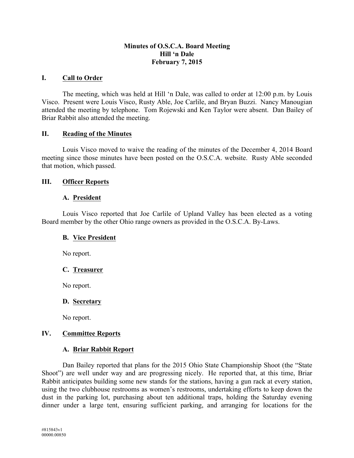### **Minutes of O.S.C.A. Board Meeting Hill 'n Dale February 7, 2015**

### **I. Call to Order**

The meeting, which was held at Hill 'n Dale, was called to order at 12:00 p.m. by Louis Visco. Present were Louis Visco, Rusty Able, Joe Carlile, and Bryan Buzzi. Nancy Manougian attended the meeting by telephone. Tom Rojewski and Ken Taylor were absent. Dan Bailey of Briar Rabbit also attended the meeting.

#### **II. Reading of the Minutes**

Louis Visco moved to waive the reading of the minutes of the December 4, 2014 Board meeting since those minutes have been posted on the O.S.C.A. website. Rusty Able seconded that motion, which passed.

### **III. Officer Reports**

#### **A. President**

Louis Visco reported that Joe Carlile of Upland Valley has been elected as a voting Board member by the other Ohio range owners as provided in the O.S.C.A. By-Laws.

#### **B. Vice President**

No report.

## **C. Treasurer**

No report.

## **D. Secretary**

No report.

## **IV. Committee Reports**

## **A. Briar Rabbit Report**

Dan Bailey reported that plans for the 2015 Ohio State Championship Shoot (the "State Shoot") are well under way and are progressing nicely. He reported that, at this time, Briar Rabbit anticipates building some new stands for the stations, having a gun rack at every station, using the two clubhouse restrooms as women's restrooms, undertaking efforts to keep down the dust in the parking lot, purchasing about ten additional traps, holding the Saturday evening dinner under a large tent, ensuring sufficient parking, and arranging for locations for the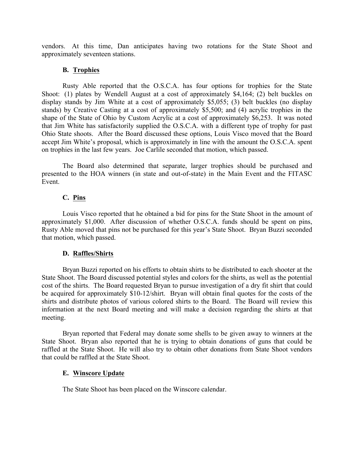vendors. At this time, Dan anticipates having two rotations for the State Shoot and approximately seventeen stations.

## **B. Trophies**

Rusty Able reported that the O.S.C.A. has four options for trophies for the State Shoot: (1) plates by Wendell August at a cost of approximately \$4,164; (2) belt buckles on display stands by Jim White at a cost of approximately \$5,055; (3) belt buckles (no display stands) by Creative Casting at a cost of approximately \$5,500; and (4) acrylic trophies in the shape of the State of Ohio by Custom Acrylic at a cost of approximately \$6,253. It was noted that Jim White has satisfactorily supplied the O.S.C.A. with a different type of trophy for past Ohio State shoots. After the Board discussed these options, Louis Visco moved that the Board accept Jim White's proposal, which is approximately in line with the amount the O.S.C.A. spent on trophies in the last few years. Joe Carlile seconded that motion, which passed.

The Board also determined that separate, larger trophies should be purchased and presented to the HOA winners (in state and out-of-state) in the Main Event and the FITASC Event.

### **C. Pins**

Louis Visco reported that he obtained a bid for pins for the State Shoot in the amount of approximately \$1,000. After discussion of whether O.S.C.A. funds should be spent on pins, Rusty Able moved that pins not be purchased for this year's State Shoot. Bryan Buzzi seconded that motion, which passed.

## **D. Raffles/Shirts**

Bryan Buzzi reported on his efforts to obtain shirts to be distributed to each shooter at the State Shoot. The Board discussed potential styles and colors for the shirts, as well as the potential cost of the shirts. The Board requested Bryan to pursue investigation of a dry fit shirt that could be acquired for approximately \$10-12/shirt. Bryan will obtain final quotes for the costs of the shirts and distribute photos of various colored shirts to the Board. The Board will review this information at the next Board meeting and will make a decision regarding the shirts at that meeting.

Bryan reported that Federal may donate some shells to be given away to winners at the State Shoot. Bryan also reported that he is trying to obtain donations of guns that could be raffled at the State Shoot. He will also try to obtain other donations from State Shoot vendors that could be raffled at the State Shoot.

#### **E. Winscore Update**

The State Shoot has been placed on the Winscore calendar.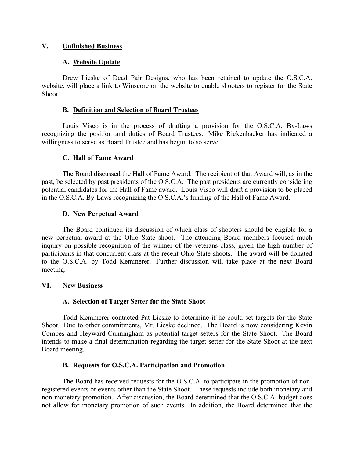## **V. Unfinished Business**

### **A. Website Update**

Drew Lieske of Dead Pair Designs, who has been retained to update the O.S.C.A. website, will place a link to Winscore on the website to enable shooters to register for the State Shoot.

#### **B. Definition and Selection of Board Trustees**

Louis Visco is in the process of drafting a provision for the O.S.C.A. By-Laws recognizing the position and duties of Board Trustees. Mike Rickenbacker has indicated a willingness to serve as Board Trustee and has begun to so serve.

### **C. Hall of Fame Award**

The Board discussed the Hall of Fame Award. The recipient of that Award will, as in the past, be selected by past presidents of the O.S.C.A. The past presidents are currently considering potential candidates for the Hall of Fame award. Louis Visco will draft a provision to be placed in the O.S.C.A. By-Laws recognizing the O.S.C.A.'s funding of the Hall of Fame Award.

### **D. New Perpetual Award**

The Board continued its discussion of which class of shooters should be eligible for a new perpetual award at the Ohio State shoot. The attending Board members focused much inquiry on possible recognition of the winner of the veterans class, given the high number of participants in that concurrent class at the recent Ohio State shoots. The award will be donated to the O.S.C.A. by Todd Kemmerer. Further discussion will take place at the next Board meeting.

#### **VI. New Business**

## **A. Selection of Target Setter for the State Shoot**

Todd Kemmerer contacted Pat Lieske to determine if he could set targets for the State Shoot. Due to other commitments, Mr. Lieske declined. The Board is now considering Kevin Combes and Heyward Cunningham as potential target setters for the State Shoot. The Board intends to make a final determination regarding the target setter for the State Shoot at the next Board meeting.

#### **B. Requests for O.S.C.A. Participation and Promotion**

The Board has received requests for the O.S.C.A. to participate in the promotion of nonregistered events or events other than the State Shoot. These requests include both monetary and non-monetary promotion. After discussion, the Board determined that the O.S.C.A. budget does not allow for monetary promotion of such events. In addition, the Board determined that the